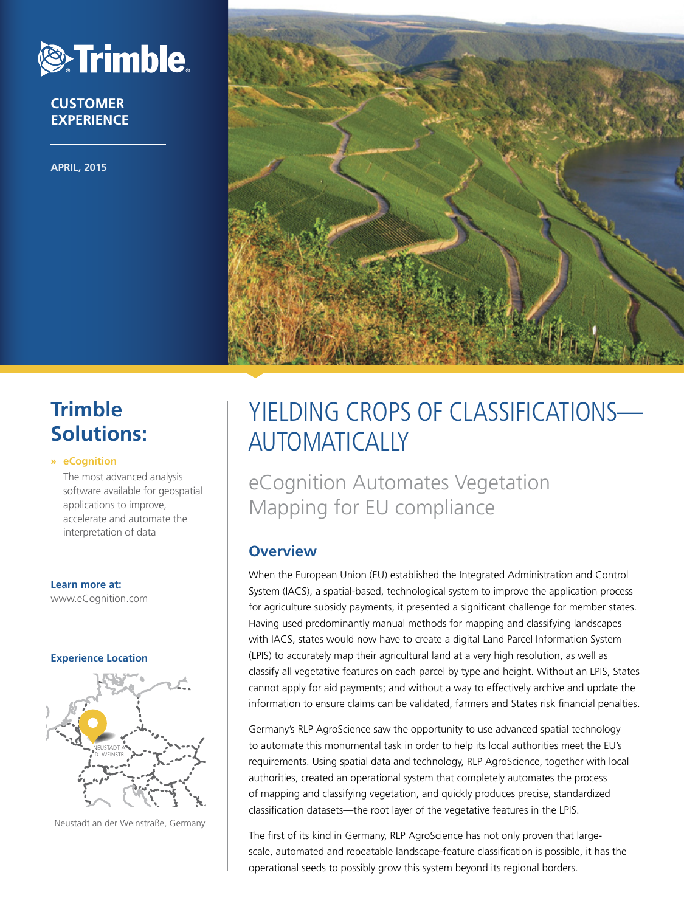

## **Customer Experience**

**APRIL, 2015**



# **Trimble Solutions:**

#### **» eCognition**

The most advanced analysis software available for geospatial applications to improve, accelerate and automate the interpretation of data

**Learn more at:**  www.eCognition.com

#### **Experience Location**



Neustadt an der Weinstraße, Germany

# YIELDING CROPS OF CLASSIFICATIONS-**AUTOMATICALLY**

eCognition Automates Vegetation Mapping for EU compliance

### **Overview**

When the European Union (EU) established the Integrated Administration and Control System (IACS), a spatial-based, technological system to improve the application process for agriculture subsidy payments, it presented a significant challenge for member states. Having used predominantly manual methods for mapping and classifying landscapes with IACS, states would now have to create a digital Land Parcel Information System (LPIS) to accurately map their agricultural land at a very high resolution, as well as classify all vegetative features on each parcel by type and height. Without an LPIS, States cannot apply for aid payments; and without a way to effectively archive and update the information to ensure claims can be validated, farmers and States risk financial penalties.

Germany's RLP AgroScience saw the opportunity to use advanced spatial technology to automate this monumental task in order to help its local authorities meet the EU's requirements. Using spatial data and technology, RLP AgroScience, together with local authorities, created an operational system that completely automates the process of mapping and classifying vegetation, and quickly produces precise, standardized classification datasets––the root layer of the vegetative features in the LPIS.

The first of its kind in Germany, RLP AgroScience has not only proven that largescale, automated and repeatable landscape-feature classification is possible, it has the operational seeds to possibly grow this system beyond its regional borders.